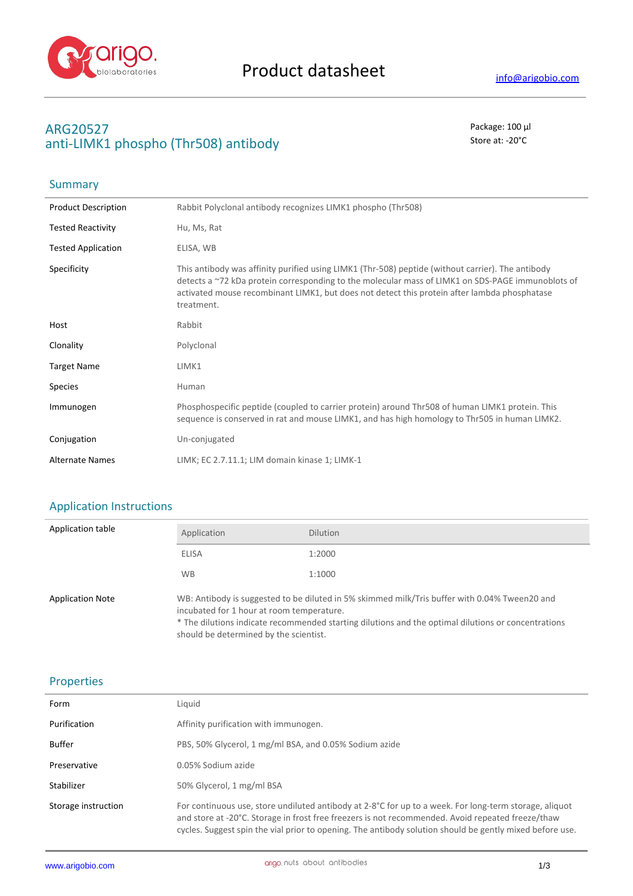

# **ARG20527** Package: 100 μl anti-LIMK1 phospho (Thr508) antibody antibody store at: -20<sup>°</sup>C

| Summary                    |                                                                                                                                                                                                                                                                                                                      |
|----------------------------|----------------------------------------------------------------------------------------------------------------------------------------------------------------------------------------------------------------------------------------------------------------------------------------------------------------------|
| <b>Product Description</b> | Rabbit Polyclonal antibody recognizes LIMK1 phospho (Thr508)                                                                                                                                                                                                                                                         |
| <b>Tested Reactivity</b>   | Hu, Ms, Rat                                                                                                                                                                                                                                                                                                          |
| <b>Tested Application</b>  | ELISA, WB                                                                                                                                                                                                                                                                                                            |
| Specificity                | This antibody was affinity purified using LIMK1 (Thr-508) peptide (without carrier). The antibody<br>detects a ~72 kDa protein corresponding to the molecular mass of LIMK1 on SDS-PAGE immunoblots of<br>activated mouse recombinant LIMK1, but does not detect this protein after lambda phosphatase<br>treatment. |
| Host                       | Rabbit                                                                                                                                                                                                                                                                                                               |
| Clonality                  | Polyclonal                                                                                                                                                                                                                                                                                                           |
| <b>Target Name</b>         | LIMK1                                                                                                                                                                                                                                                                                                                |
| <b>Species</b>             | Human                                                                                                                                                                                                                                                                                                                |
| Immunogen                  | Phosphospecific peptide (coupled to carrier protein) around Thr508 of human LIMK1 protein. This<br>sequence is conserved in rat and mouse LIMK1, and has high homology to Thr505 in human LIMK2.                                                                                                                     |
| Conjugation                | Un-conjugated                                                                                                                                                                                                                                                                                                        |
| <b>Alternate Names</b>     | LIMK; EC 2.7.11.1; LIM domain kinase 1; LIMK-1                                                                                                                                                                                                                                                                       |

## Application Instructions

| Application table       | Application                                                                                                                                                                                                                                                                                 | <b>Dilution</b> |
|-------------------------|---------------------------------------------------------------------------------------------------------------------------------------------------------------------------------------------------------------------------------------------------------------------------------------------|-----------------|
|                         | ELISA                                                                                                                                                                                                                                                                                       | 1:2000          |
|                         | <b>WB</b>                                                                                                                                                                                                                                                                                   | 1:1000          |
| <b>Application Note</b> | WB: Antibody is suggested to be diluted in 5% skimmed milk/Tris buffer with 0.04% Tween20 and<br>incubated for 1 hour at room temperature.<br>* The dilutions indicate recommended starting dilutions and the optimal dilutions or concentrations<br>should be determined by the scientist. |                 |

### Properties

| Form                | Liguid                                                                                                                                                                                                                                                                                                                  |
|---------------------|-------------------------------------------------------------------------------------------------------------------------------------------------------------------------------------------------------------------------------------------------------------------------------------------------------------------------|
| Purification        | Affinity purification with immunogen.                                                                                                                                                                                                                                                                                   |
| Buffer              | PBS, 50% Glycerol, 1 mg/ml BSA, and 0.05% Sodium azide                                                                                                                                                                                                                                                                  |
| Preservative        | 0.05% Sodium azide                                                                                                                                                                                                                                                                                                      |
| Stabilizer          | 50% Glycerol, 1 mg/ml BSA                                                                                                                                                                                                                                                                                               |
| Storage instruction | For continuous use, store undiluted antibody at 2-8°C for up to a week. For long-term storage, aliquot<br>and store at -20°C. Storage in frost free freezers is not recommended. Avoid repeated freeze/thaw<br>cycles. Suggest spin the vial prior to opening. The antibody solution should be gently mixed before use. |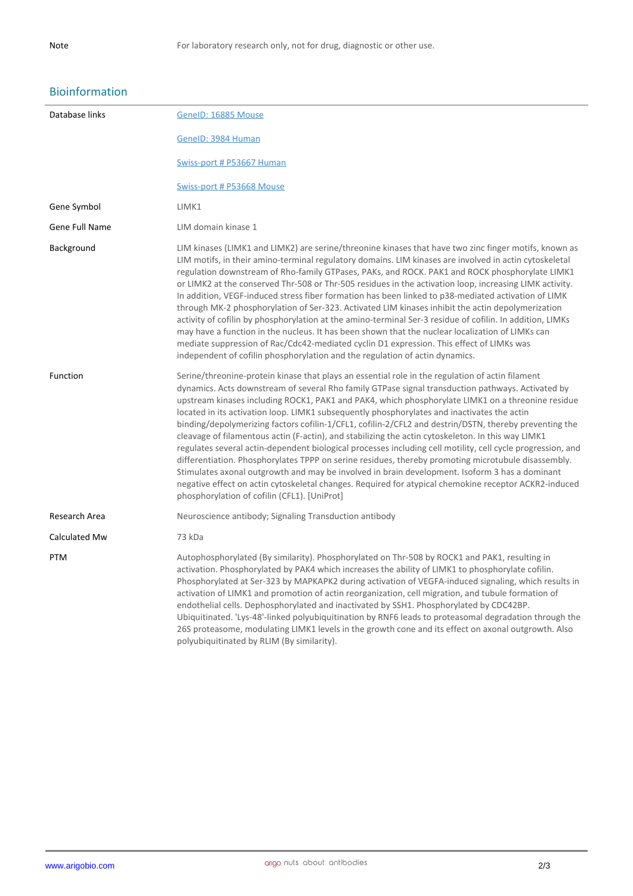### Bioinformation

| Database links | GeneID: 16885 Mouse                                                                                                                                                                                                                                                                                                                                                                                                                                                                                                                                                                                                                                                                                                                                                                                                                                                                                                                                                                                                                                                                                        |
|----------------|------------------------------------------------------------------------------------------------------------------------------------------------------------------------------------------------------------------------------------------------------------------------------------------------------------------------------------------------------------------------------------------------------------------------------------------------------------------------------------------------------------------------------------------------------------------------------------------------------------------------------------------------------------------------------------------------------------------------------------------------------------------------------------------------------------------------------------------------------------------------------------------------------------------------------------------------------------------------------------------------------------------------------------------------------------------------------------------------------------|
|                | GenelD: 3984 Human                                                                                                                                                                                                                                                                                                                                                                                                                                                                                                                                                                                                                                                                                                                                                                                                                                                                                                                                                                                                                                                                                         |
|                | Swiss-port # P53667 Human                                                                                                                                                                                                                                                                                                                                                                                                                                                                                                                                                                                                                                                                                                                                                                                                                                                                                                                                                                                                                                                                                  |
|                | Swiss-port # P53668 Mouse                                                                                                                                                                                                                                                                                                                                                                                                                                                                                                                                                                                                                                                                                                                                                                                                                                                                                                                                                                                                                                                                                  |
| Gene Symbol    | LIMK1                                                                                                                                                                                                                                                                                                                                                                                                                                                                                                                                                                                                                                                                                                                                                                                                                                                                                                                                                                                                                                                                                                      |
| Gene Full Name | LIM domain kinase 1                                                                                                                                                                                                                                                                                                                                                                                                                                                                                                                                                                                                                                                                                                                                                                                                                                                                                                                                                                                                                                                                                        |
| Background     | LIM kinases (LIMK1 and LIMK2) are serine/threonine kinases that have two zinc finger motifs, known as<br>LIM motifs, in their amino-terminal regulatory domains. LIM kinases are involved in actin cytoskeletal<br>regulation downstream of Rho-family GTPases, PAKs, and ROCK. PAK1 and ROCK phosphorylate LIMK1<br>or LIMK2 at the conserved Thr-508 or Thr-505 residues in the activation loop, increasing LIMK activity.<br>In addition, VEGF-induced stress fiber formation has been linked to p38-mediated activation of LIMK<br>through MK-2 phosphorylation of Ser-323. Activated LIM kinases inhibit the actin depolymerization<br>activity of cofilin by phosphorylation at the amino-terminal Ser-3 residue of cofilin. In addition, LIMKs<br>may have a function in the nucleus. It has been shown that the nuclear localization of LIMKs can<br>mediate suppression of Rac/Cdc42-mediated cyclin D1 expression. This effect of LIMKs was<br>independent of cofilin phosphorylation and the regulation of actin dynamics.                                                                      |
| Function       | Serine/threonine-protein kinase that plays an essential role in the regulation of actin filament<br>dynamics. Acts downstream of several Rho family GTPase signal transduction pathways. Activated by<br>upstream kinases including ROCK1, PAK1 and PAK4, which phosphorylate LIMK1 on a threonine residue<br>located in its activation loop. LIMK1 subsequently phosphorylates and inactivates the actin<br>binding/depolymerizing factors cofilin-1/CFL1, cofilin-2/CFL2 and destrin/DSTN, thereby preventing the<br>cleavage of filamentous actin (F-actin), and stabilizing the actin cytoskeleton. In this way LIMK1<br>regulates several actin-dependent biological processes including cell motility, cell cycle progression, and<br>differentiation. Phosphorylates TPPP on serine residues, thereby promoting microtubule disassembly.<br>Stimulates axonal outgrowth and may be involved in brain development. Isoform 3 has a dominant<br>negative effect on actin cytoskeletal changes. Required for atypical chemokine receptor ACKR2-induced<br>phosphorylation of cofilin (CFL1). [UniProt] |
| Research Area  | Neuroscience antibody; Signaling Transduction antibody                                                                                                                                                                                                                                                                                                                                                                                                                                                                                                                                                                                                                                                                                                                                                                                                                                                                                                                                                                                                                                                     |
| Calculated Mw  | 73 kDa                                                                                                                                                                                                                                                                                                                                                                                                                                                                                                                                                                                                                                                                                                                                                                                                                                                                                                                                                                                                                                                                                                     |
| <b>PTM</b>     | Autophosphorylated (By similarity). Phosphorylated on Thr-508 by ROCK1 and PAK1, resulting in<br>activation. Phosphorylated by PAK4 which increases the ability of LIMK1 to phosphorylate cofilin.<br>Phosphorylated at Ser-323 by MAPKAPK2 during activation of VEGFA-induced signaling, which results in<br>activation of LIMK1 and promotion of actin reorganization, cell migration, and tubule formation of<br>endothelial cells. Dephosphorylated and inactivated by SSH1. Phosphorylated by CDC42BP.<br>Ubiquitinated. 'Lys-48'-linked polyubiquitination by RNF6 leads to proteasomal degradation through the<br>26S proteasome, modulating LIMK1 levels in the growth cone and its effect on axonal outgrowth. Also<br>polyubiquitinated by RLIM (By similarity).                                                                                                                                                                                                                                                                                                                                 |